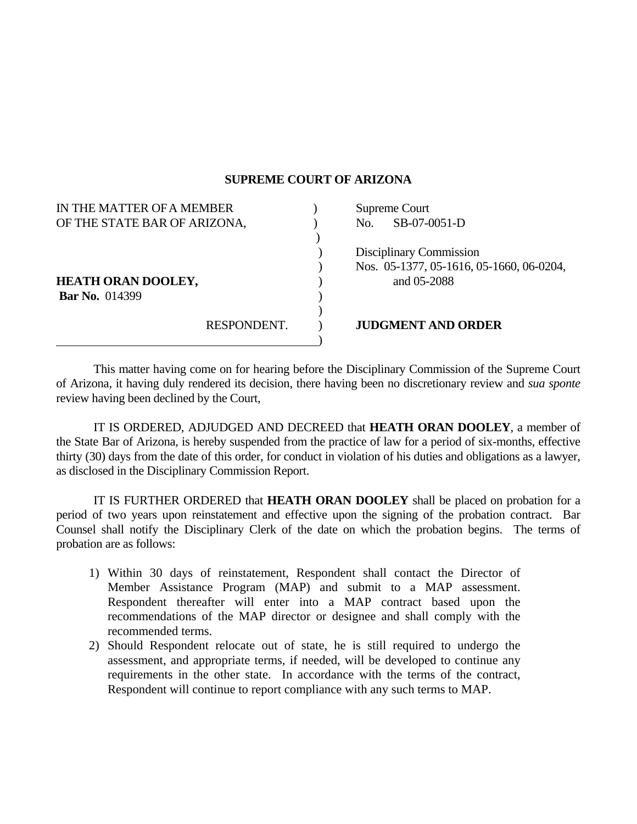## **SUPREME COURT OF ARIZONA**

| IN THE MATTER OF A MEMBER    |             | Supreme Court |                                          |
|------------------------------|-------------|---------------|------------------------------------------|
| OF THE STATE BAR OF ARIZONA, |             | No.           | SB-07-0051-D                             |
|                              |             |               |                                          |
|                              |             |               | Disciplinary Commission                  |
|                              |             |               | Nos. 05-1377, 05-1616, 05-1660, 06-0204, |
| <b>HEATH ORAN DOOLEY,</b>    |             |               | and 05-2088                              |
| <b>Bar No.</b> 014399        |             |               |                                          |
|                              |             |               |                                          |
|                              | RESPONDENT. |               | <b>JUDGMENT AND ORDER</b>                |
|                              |             |               |                                          |

 This matter having come on for hearing before the Disciplinary Commission of the Supreme Court of Arizona, it having duly rendered its decision, there having been no discretionary review and *sua sponte* review having been declined by the Court,

 IT IS ORDERED, ADJUDGED AND DECREED that **HEATH ORAN DOOLEY**, a member of the State Bar of Arizona, is hereby suspended from the practice of law for a period of six-months, effective thirty (30) days from the date of this order, for conduct in violation of his duties and obligations as a lawyer, as disclosed in the Disciplinary Commission Report.

 IT IS FURTHER ORDERED that **HEATH ORAN DOOLEY** shall be placed on probation for a period of two years upon reinstatement and effective upon the signing of the probation contract. Bar Counsel shall notify the Disciplinary Clerk of the date on which the probation begins. The terms of probation are as follows:

- 1) Within 30 days of reinstatement, Respondent shall contact the Director of Member Assistance Program (MAP) and submit to a MAP assessment. Respondent thereafter will enter into a MAP contract based upon the recommendations of the MAP director or designee and shall comply with the recommended terms.
- 2) Should Respondent relocate out of state, he is still required to undergo the assessment, and appropriate terms, if needed, will be developed to continue any requirements in the other state. In accordance with the terms of the contract, Respondent will continue to report compliance with any such terms to MAP.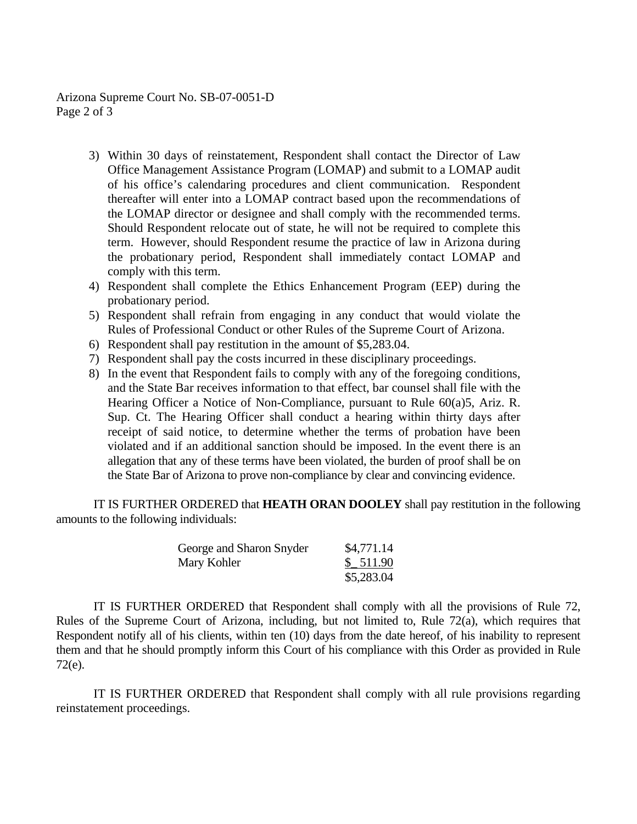Arizona Supreme Court No. SB-07-0051-D Page 2 of 3

- 3) Within 30 days of reinstatement, Respondent shall contact the Director of Law Office Management Assistance Program (LOMAP) and submit to a LOMAP audit of his office's calendaring procedures and client communication. Respondent thereafter will enter into a LOMAP contract based upon the recommendations of the LOMAP director or designee and shall comply with the recommended terms. Should Respondent relocate out of state, he will not be required to complete this term. However, should Respondent resume the practice of law in Arizona during the probationary period, Respondent shall immediately contact LOMAP and comply with this term.
- 4) Respondent shall complete the Ethics Enhancement Program (EEP) during the probationary period.
- 5) Respondent shall refrain from engaging in any conduct that would violate the Rules of Professional Conduct or other Rules of the Supreme Court of Arizona.
- 6) Respondent shall pay restitution in the amount of \$5,283.04.
- 7) Respondent shall pay the costs incurred in these disciplinary proceedings.
- 8) In the event that Respondent fails to comply with any of the foregoing conditions, and the State Bar receives information to that effect, bar counsel shall file with the Hearing Officer a Notice of Non-Compliance, pursuant to Rule 60(a)5, Ariz. R. Sup. Ct. The Hearing Officer shall conduct a hearing within thirty days after receipt of said notice, to determine whether the terms of probation have been violated and if an additional sanction should be imposed. In the event there is an allegation that any of these terms have been violated, the burden of proof shall be on the State Bar of Arizona to prove non-compliance by clear and convincing evidence.

 IT IS FURTHER ORDERED that **HEATH ORAN DOOLEY** shall pay restitution in the following amounts to the following individuals:

| George and Sharon Snyder | \$4,771.14 |
|--------------------------|------------|
| Mary Kohler              | \$511.90   |
|                          | \$5,283.04 |

 IT IS FURTHER ORDERED that Respondent shall comply with all the provisions of Rule 72, Rules of the Supreme Court of Arizona, including, but not limited to, Rule 72(a), which requires that Respondent notify all of his clients, within ten (10) days from the date hereof, of his inability to represent them and that he should promptly inform this Court of his compliance with this Order as provided in Rule 72(e).

 IT IS FURTHER ORDERED that Respondent shall comply with all rule provisions regarding reinstatement proceedings.